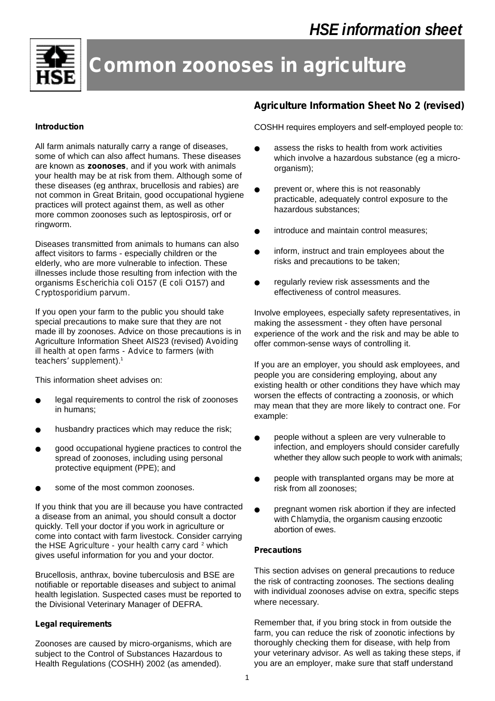

# **Common zoonoses in agriculture**

### **Introduction**

All farm animals naturally carry a range of diseases, some of which can also affect humans. These diseases are known as **zoonoses**, and if you work with animals your health may be at risk from them. Although some of these diseases (eg anthrax, brucellosis and rabies) are not common in Great Britain, good occupational hygiene practices will protect against them, as well as other more common zoonoses such as leptospirosis, orf or ringworm.

Diseases transmitted from animals to humans can also affect visitors to farms - especially children or the elderly, who are more vulnerable to infection. These illnesses include those resulting from infection with the organisms *Escherichia coli* O157 (*E coli* O157) and *Cryptosporidium parvum*.

If you open your farm to the public you should take special precautions to make sure that they are not made ill by zoonoses. Advice on those precautions is in Agriculture Information Sheet AIS23 (revised) *Avoiding ill health at open farms - Advice to farmers (with teachers' supplement*).<sup>1</sup>

This information sheet advises on:

- legal requirements to control the risk of zoonoses in humans;
- husbandry practices which may reduce the risk;
- good occupational hygiene practices to control the spread of zoonoses, including using personal protective equipment (PPE); and
- some of the most common zoonoses.

If you think that you are ill because you have contracted a disease from an animal, you should consult a doctor quickly. Tell your doctor if you work in agriculture or come into contact with farm livestock. Consider carrying the HSE *Agriculture - your health carry card* <sup>2</sup> which gives useful information for you and your doctor.

Brucellosis, anthrax, bovine tuberculosis and BSE are notifiable or reportable diseases and subject to animal health legislation. Suspected cases must be reported to the Divisional Veterinary Manager of DEFRA.

# **Legal requirements**

Zoonoses are caused by micro-organisms, which are subject to the Control of Substances Hazardous to Health Regulations (COSHH) 2002 (as amended).

# **Agriculture Information Sheet No 2 (revised)**

COSHH requires employers and self-employed people to:

- assess the risks to health from work activities which involve a hazardous substance (eg a microorganism):
- prevent or, where this is not reasonably practicable, adequately control exposure to the hazardous substances;
- introduce and maintain control measures;
- inform, instruct and train employees about the risks and precautions to be taken;
- regularly review risk assessments and the effectiveness of control measures.

Involve employees, especially safety representatives, in making the assessment - they often have personal experience of the work and the risk and may be able to offer common-sense ways of controlling it.

If you are an employer, you should ask employees, and people you are considering employing, about any existing health or other conditions they have which may worsen the effects of contracting a zoonosis, or which may mean that they are more likely to contract one. For example:

- people without a spleen are very vulnerable to infection, and employers should consider carefully whether they allow such people to work with animals;
- people with transplanted organs may be more at risk from all zoonoses;
- pregnant women risk abortion if they are infected with *Chlamydia*, the organism causing enzootic abortion of ewes.

# **Precautions**

This section advises on general precautions to reduce the risk of contracting zoonoses. The sections dealing with individual zoonoses advise on extra, specific steps where necessary.

Remember that, if you bring stock in from outside the farm, you can reduce the risk of zoonotic infections by thoroughly checking them for disease, with help from your veterinary advisor. As well as taking these steps, if you are an employer, make sure that staff understand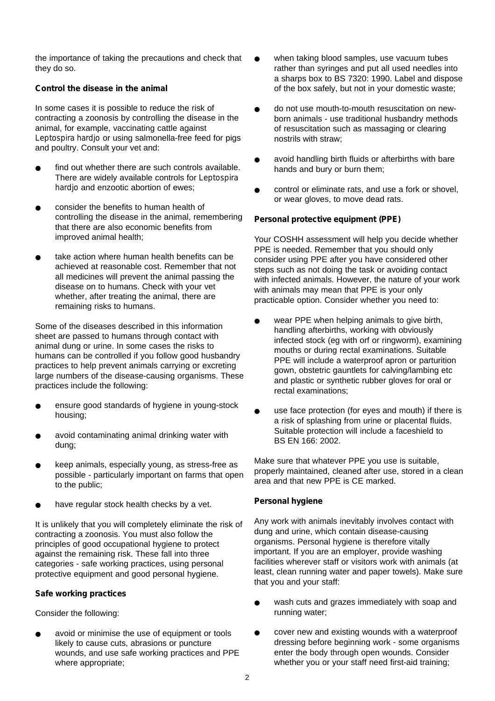the importance of taking the precautions and check that they do so.

# *Control the disease in the animal*

In some cases it is possible to reduce the risk of contracting a zoonosis by controlling the disease in the animal, for example, vaccinating cattle against *Leptospira hardjo* or using salmonella-free feed for pigs and poultry. Consult your vet and:

- find out whether there are such controls available. There are widely available controls for *Leptospira hardjo* and enzootic abortion of ewes;
- consider the benefits to human health of controlling the disease in the animal, remembering that there are also economic benefits from improved animal health;
- take action where human health benefits can be achieved at reasonable cost. Remember that not all medicines will prevent the animal passing the disease on to humans. Check with your vet whether, after treating the animal, there are remaining risks to humans.

Some of the diseases described in this information sheet are passed to humans through contact with animal dung or urine. In some cases the risks to humans can be controlled if you follow good husbandry practices to help prevent animals carrying or excreting large numbers of the disease-causing organisms. These practices include the following:

- ensure good standards of hygiene in young-stock housing;
- avoid contaminating animal drinking water with dung;
- keep animals, especially young, as stress-free as possible - particularly important on farms that open to the public;
- have regular stock health checks by a vet.

It is unlikely that you will completely eliminate the risk of contracting a zoonosis. You must also follow the principles of good occupational hygiene to protect against the remaining risk. These fall into three categories - safe working practices, using personal protective equipment and good personal hygiene.

#### *Safe working practices*

Consider the following:

avoid or minimise the use of equipment or tools likely to cause cuts, abrasions or puncture wounds, and use safe working practices and PPE where appropriate;

- when taking blood samples, use vacuum tubes rather than syringes and put all used needles into a sharps box to BS 7320: 1990. Label and dispose of the box safely, but not in your domestic waste;
- do not use mouth-to-mouth resuscitation on newborn animals - use traditional husbandry methods of resuscitation such as massaging or clearing nostrils with straw;
- avoid handling birth fluids or afterbirths with bare hands and bury or burn them;
- control or eliminate rats, and use a fork or shovel. or wear gloves, to move dead rats.

#### *Personal protective equipment (PPE)*

Your COSHH assessment will help you decide whether PPE is needed. Remember that you should only consider using PPE after you have considered other steps such as not doing the task or avoiding contact with infected animals. However, the nature of your work with animals may mean that PPE is your only practicable option. Consider whether you need to:

- wear PPE when helping animals to give birth, handling afterbirths, working with obviously infected stock (eg with orf or ringworm), examining mouths or during rectal examinations. Suitable PPE will include a waterproof apron or parturition gown, obstetric gauntlets for calving/lambing etc and plastic or synthetic rubber gloves for oral or rectal examinations;
- use face protection (for eyes and mouth) if there is a risk of splashing from urine or placental fluids. Suitable protection will include a faceshield to BS EN 166: 2002.

Make sure that whatever PPE you use is suitable, properly maintained, cleaned after use, stored in a clean area and that new PPE is CE marked.

#### *Personal hygiene*

Any work with animals inevitably involves contact with dung and urine, which contain disease-causing organisms. Personal hygiene is therefore vitally important. If you are an employer, provide washing facilities wherever staff or visitors work with animals (at least, clean running water and paper towels). Make sure that you and your staff:

- wash cuts and grazes immediately with soap and running water;
- cover new and existing wounds with a waterproof dressing before beginning work - some organisms enter the body through open wounds. Consider whether you or your staff need first-aid training;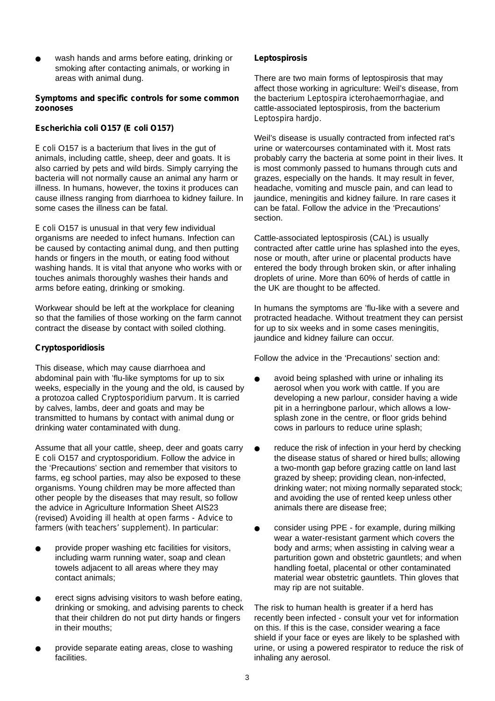wash hands and arms before eating, drinking or smoking after contacting animals, or working in areas with animal dung.

#### **Symptoms and specific controls for some common zoonoses**

# *Escherichia coli O157 (E coli O157)*

*E coli* O157 is a bacterium that lives in the gut of animals, including cattle, sheep, deer and goats. It is also carried by pets and wild birds. Simply carrying the bacteria will not normally cause an animal any harm or illness. In humans, however, the toxins it produces can cause illness ranging from diarrhoea to kidney failure. In some cases the illness can be fatal.

*E coli* O157 is unusual in that very few individual organisms are needed to infect humans. Infection can be caused by contacting animal dung, and then putting hands or fingers in the mouth, or eating food without washing hands. It is vital that anyone who works with or touches animals thoroughly washes their hands and arms before eating, drinking or smoking.

Workwear should be left at the workplace for cleaning so that the families of those working on the farm cannot contract the disease by contact with soiled clothing.

# *Cryptosporidiosis*

This disease, which may cause diarrhoea and abdominal pain with 'flu-like symptoms for up to six weeks, especially in the young and the old, is caused by a protozoa called *Cryptosporidium parvum*. It is carried by calves, lambs, deer and goats and may be transmitted to humans by contact with animal dung or drinking water contaminated with dung.

Assume that all your cattle, sheep, deer and goats carry *E coli* O157 and cryptosporidium. Follow the advice in the 'Precautions' section and remember that visitors to farms, eg school parties, may also be exposed to these organisms. Young children may be more affected than other people by the diseases that may result, so follow the advice in Agriculture Information Sheet AIS23 (revised) *Avoiding ill health at open farms - Advice to farmers (with teachers' supplement)*. In particular:

- provide proper washing etc facilities for visitors, including warm running water, soap and clean towels adjacent to all areas where they may contact animals;
- erect signs advising visitors to wash before eating. drinking or smoking, and advising parents to check that their children do not put dirty hands or fingers in their mouths;
- provide separate eating areas, close to washing facilities.

# *Leptospirosis*

There are two main forms of leptospirosis that may affect those working in agriculture: Weil's disease, from the bacterium *Leptospira icterohaemorrhagiae*, and cattle-associated leptospirosis, from the bacterium *Leptospira hardjo*.

Weil's disease is usually contracted from infected rat's urine or watercourses contaminated with it. Most rats probably carry the bacteria at some point in their lives. It is most commonly passed to humans through cuts and grazes, especially on the hands. It may result in fever, headache, vomiting and muscle pain, and can lead to jaundice, meningitis and kidney failure. In rare cases it can be fatal. Follow the advice in the 'Precautions' section.

Cattle-associated leptospirosis (CAL) is usually contracted after cattle urine has splashed into the eyes, nose or mouth, after urine or placental products have entered the body through broken skin, or after inhaling droplets of urine. More than 60% of herds of cattle in the UK are thought to be affected.

In humans the symptoms are 'flu-like with a severe and protracted headache. Without treatment they can persist for up to six weeks and in some cases meningitis, jaundice and kidney failure can occur.

Follow the advice in the 'Precautions' section and:

- avoid being splashed with urine or inhaling its aerosol when you work with cattle. If you are developing a new parlour, consider having a wide pit in a herringbone parlour, which allows a lowsplash zone in the centre, or floor grids behind cows in parlours to reduce urine splash;
- reduce the risk of infection in your herd by checking the disease status of shared or hired bulls; allowing a two-month gap before grazing cattle on land last grazed by sheep; providing clean, non-infected, drinking water; not mixing normally separated stock; and avoiding the use of rented keep unless other animals there are disease free;
- consider using PPE for example, during milking wear a water-resistant garment which covers the body and arms; when assisting in calving wear a parturition gown and obstetric gauntlets; and when handling foetal, placental or other contaminated material wear obstetric gauntlets. Thin gloves that may rip are not suitable.

The risk to human health is greater if a herd has recently been infected - consult your vet for information on this. If this is the case, consider wearing a face shield if your face or eyes are likely to be splashed with urine, or using a powered respirator to reduce the risk of inhaling any aerosol.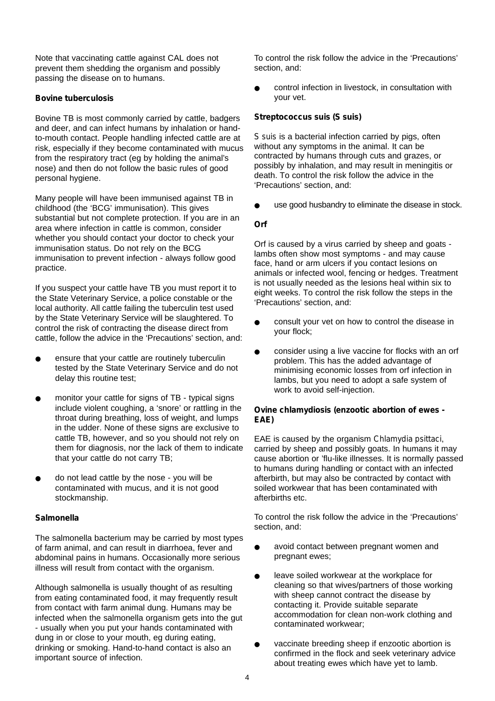Note that vaccinating cattle against CAL does not prevent them shedding the organism and possibly passing the disease on to humans.

#### *Bovine tuberculosis*

Bovine TB is most commonly carried by cattle, badgers and deer, and can infect humans by inhalation or handto-mouth contact. People handling infected cattle are at risk, especially if they become contaminated with mucus from the respiratory tract (eg by holding the animal's nose) and then do not follow the basic rules of good personal hygiene.

Many people will have been immunised against TB in childhood (the 'BCG' immunisation). This gives substantial but not complete protection. If you are in an area where infection in cattle is common, consider whether you should contact your doctor to check your immunisation status. Do not rely on the BCG immunisation to prevent infection - always follow good practice.

If you suspect your cattle have TB you must report it to the State Veterinary Service, a police constable or the local authority. All cattle failing the tuberculin test used by the State Veterinary Service will be slaughtered. To control the risk of contracting the disease direct from cattle, follow the advice in the 'Precautions' section, and:

- ensure that your cattle are routinely tuberculin tested by the State Veterinary Service and do not delay this routine test;
- monitor your cattle for signs of TB typical signs include violent coughing, a 'snore' or rattling in the throat during breathing, loss of weight, and lumps in the udder. None of these signs are exclusive to cattle TB, however, and so you should not rely on them for diagnosis, nor the lack of them to indicate that your cattle do not carry TB;
- do not lead cattle by the nose you will be contaminated with mucus, and it is not good stockmanship.

#### *Salmonella*

The salmonella bacterium may be carried by most types of farm animal, and can result in diarrhoea, fever and abdominal pains in humans. Occasionally more serious illness will result from contact with the organism.

Although salmonella is usually thought of as resulting from eating contaminated food, it may frequently result from contact with farm animal dung. Humans may be infected when the salmonella organism gets into the gut - usually when you put your hands contaminated with dung in or close to your mouth, eg during eating, drinking or smoking. Hand-to-hand contact is also an important source of infection.

To control the risk follow the advice in the 'Precautions' section, and:

control infection in livestock, in consultation with your vet.

#### *Streptococcus suis (S suis)*

*S* suis is a bacterial infection carried by pigs, often without any symptoms in the animal. It can be contracted by humans through cuts and grazes, or possibly by inhalation, and may result in meningitis or death. To control the risk follow the advice in the 'Precautions' section, and:

use good husbandry to eliminate the disease in stock.

#### *Orf*

Orf is caused by a virus carried by sheep and goats lambs often show most symptoms - and may cause face, hand or arm ulcers if you contact lesions on animals or infected wool, fencing or hedges. Treatment is not usually needed as the lesions heal within six to eight weeks. To control the risk follow the steps in the 'Precautions' section, and:

- consult your vet on how to control the disease in your flock;
- consider using a live vaccine for flocks with an orf problem. This has the added advantage of minimising economic losses from orf infection in lambs, but you need to adopt a safe system of work to avoid self-injection.

#### *Ovine chlamydiosis (enzootic abortion of ewes - EAE)*

EAE is caused by the organism *Chlamydia psittaci*, carried by sheep and possibly goats. In humans it may cause abortion or 'flu-like illnesses. It is normally passed to humans during handling or contact with an infected afterbirth, but may also be contracted by contact with soiled workwear that has been contaminated with afterbirths etc.

To control the risk follow the advice in the 'Precautions' section, and:

- avoid contact between pregnant women and pregnant ewes;
- leave soiled workwear at the workplace for cleaning so that wives/partners of those working with sheep cannot contract the disease by contacting it. Provide suitable separate accommodation for clean non-work clothing and contaminated workwear;
- vaccinate breeding sheep if enzootic abortion is confirmed in the flock and seek veterinary advice about treating ewes which have yet to lamb.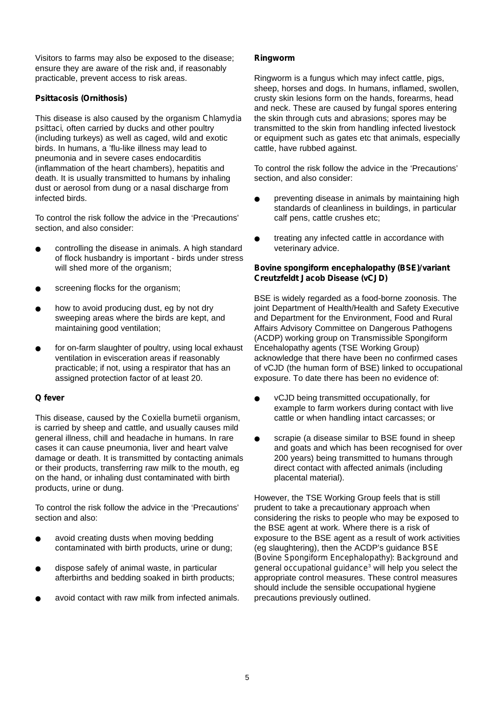Visitors to farms may also be exposed to the disease; ensure they are aware of the risk and, if reasonably practicable, prevent access to risk areas.

# *Psittacosis (Ornithosis)*

This disease is also caused by the organism *Chlamydia psittaci,* often carried by ducks and other poultry (including turkeys) as well as caged, wild and exotic birds. In humans, a 'flu-like illness may lead to pneumonia and in severe cases endocarditis (inflammation of the heart chambers), hepatitis and death. It is usually transmitted to humans by inhaling dust or aerosol from dung or a nasal discharge from infected birds.

To control the risk follow the advice in the 'Precautions' section, and also consider:

- controlling the disease in animals. A high standard of flock husbandry is important - birds under stress will shed more of the organism;
- screening flocks for the organism;
- how to avoid producing dust, eg by not dry sweeping areas where the birds are kept, and maintaining good ventilation;
- for on-farm slaughter of poultry, using local exhaust ventilation in evisceration areas if reasonably practicable; if not, using a respirator that has an assigned protection factor of at least 20.

#### *Q fever*

This disease, caused by the *Coxiella burnetii* organism, is carried by sheep and cattle, and usually causes mild general illness, chill and headache in humans. In rare cases it can cause pneumonia, liver and heart valve damage or death. It is transmitted by contacting animals or their products, transferring raw milk to the mouth, eg on the hand, or inhaling dust contaminated with birth products, urine or dung.

To control the risk follow the advice in the 'Precautions' section and also:

- avoid creating dusts when moving bedding contaminated with birth products, urine or dung;
- dispose safely of animal waste, in particular afterbirths and bedding soaked in birth products;
- avoid contact with raw milk from infected animals.

### *Ringworm*

Ringworm is a fungus which may infect cattle, pigs, sheep, horses and dogs. In humans, inflamed, swollen, crusty skin lesions form on the hands, forearms, head and neck. These are caused by fungal spores entering the skin through cuts and abrasions; spores may be transmitted to the skin from handling infected livestock or equipment such as gates etc that animals, especially cattle, have rubbed against.

To control the risk follow the advice in the 'Precautions' section, and also consider:

- preventing disease in animals by maintaining high standards of cleanliness in buildings, in particular calf pens, cattle crushes etc;
- treating any infected cattle in accordance with veterinary advice.

#### *Bovine spongiform encephalopathy (BSE)/variant Creutzfeldt Jacob Disease (vCJD)*

BSE is widely regarded as a food-borne zoonosis. The joint Department of Health/Health and Safety Executive and Department for the Environment, Food and Rural Affairs Advisory Committee on Dangerous Pathogens (ACDP) working group on Transmissible Spongiform Encehalopathy agents (TSE Working Group) acknowledge that there have been no confirmed cases of vCJD (the human form of BSE) linked to occupational exposure. To date there has been no evidence of:

- vCJD being transmitted occupationally, for example to farm workers during contact with live cattle or when handling intact carcasses; or
- scrapie (a disease similar to BSE found in sheep and goats and which has been recognised for over 200 years) being transmitted to humans through direct contact with affected animals (including placental material).

However, the TSE Working Group feels that is still prudent to take a precautionary approach when considering the risks to people who may be exposed to the BSE agent at work. Where there is a risk of exposure to the BSE agent as a result of work activities (eg slaughtering), then the ACDP's guidance *BSE (Bovine Spongiform Encephalopathy): Background and general occupational guidance*<sup>3</sup> will help you select the appropriate control measures. These control measures should include the sensible occupational hygiene precautions previously outlined.